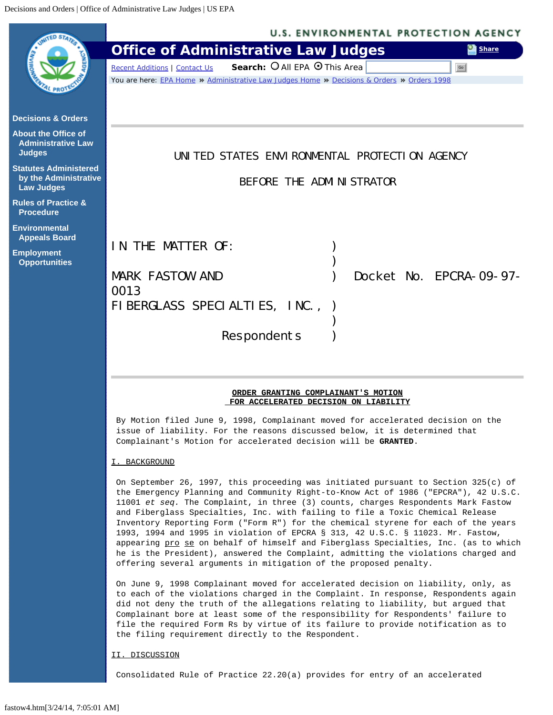<span id="page-0-0"></span>

|                                                    | <b>U.S. ENVIRONMENTAL PROTECTION AGENCY</b>                                                                                                                                                                                                                                                                                                                                                                                                                                                                                                                                                                                                                                                                                                                                   |
|----------------------------------------------------|-------------------------------------------------------------------------------------------------------------------------------------------------------------------------------------------------------------------------------------------------------------------------------------------------------------------------------------------------------------------------------------------------------------------------------------------------------------------------------------------------------------------------------------------------------------------------------------------------------------------------------------------------------------------------------------------------------------------------------------------------------------------------------|
|                                                    | <b>Office of Administrative Law Judges</b><br><b>B</b> Share                                                                                                                                                                                                                                                                                                                                                                                                                                                                                                                                                                                                                                                                                                                  |
|                                                    | Search: O All EPA O This Area<br><b>Recent Additions   Contact Us</b><br>Go                                                                                                                                                                                                                                                                                                                                                                                                                                                                                                                                                                                                                                                                                                   |
|                                                    | You are here: EPA Home » Administrative Law Judges Home » Decisions & Orders » Orders 1998                                                                                                                                                                                                                                                                                                                                                                                                                                                                                                                                                                                                                                                                                    |
|                                                    |                                                                                                                                                                                                                                                                                                                                                                                                                                                                                                                                                                                                                                                                                                                                                                               |
| <b>Decisions &amp; Orders</b>                      |                                                                                                                                                                                                                                                                                                                                                                                                                                                                                                                                                                                                                                                                                                                                                                               |
| <b>About the Office of</b>                         |                                                                                                                                                                                                                                                                                                                                                                                                                                                                                                                                                                                                                                                                                                                                                                               |
| <b>Administrative Law</b><br><b>Judges</b>         | UNITED STATES ENVIRONMENTAL PROTECTION AGENCY                                                                                                                                                                                                                                                                                                                                                                                                                                                                                                                                                                                                                                                                                                                                 |
| <b>Statutes Administered</b>                       |                                                                                                                                                                                                                                                                                                                                                                                                                                                                                                                                                                                                                                                                                                                                                                               |
| by the Administrative<br><b>Law Judges</b>         | BEFORE THE ADMINISTRATOR                                                                                                                                                                                                                                                                                                                                                                                                                                                                                                                                                                                                                                                                                                                                                      |
| <b>Rules of Practice &amp;</b><br><b>Procedure</b> |                                                                                                                                                                                                                                                                                                                                                                                                                                                                                                                                                                                                                                                                                                                                                                               |
| <b>Environmental</b><br><b>Appeals Board</b>       |                                                                                                                                                                                                                                                                                                                                                                                                                                                                                                                                                                                                                                                                                                                                                                               |
| <b>Employment</b>                                  | IN THE MATTER OF:                                                                                                                                                                                                                                                                                                                                                                                                                                                                                                                                                                                                                                                                                                                                                             |
| <b>Opportunities</b>                               |                                                                                                                                                                                                                                                                                                                                                                                                                                                                                                                                                                                                                                                                                                                                                                               |
|                                                    | <b>MARK FASTOW AND</b><br>Docket No. EPCRA-09-97-<br>0013                                                                                                                                                                                                                                                                                                                                                                                                                                                                                                                                                                                                                                                                                                                     |
|                                                    | FIBERGLASS SPECIALTIES, INC.,                                                                                                                                                                                                                                                                                                                                                                                                                                                                                                                                                                                                                                                                                                                                                 |
|                                                    |                                                                                                                                                                                                                                                                                                                                                                                                                                                                                                                                                                                                                                                                                                                                                                               |
|                                                    | Respondents                                                                                                                                                                                                                                                                                                                                                                                                                                                                                                                                                                                                                                                                                                                                                                   |
|                                                    |                                                                                                                                                                                                                                                                                                                                                                                                                                                                                                                                                                                                                                                                                                                                                                               |
|                                                    |                                                                                                                                                                                                                                                                                                                                                                                                                                                                                                                                                                                                                                                                                                                                                                               |
|                                                    | ORDER GRANTING COMPLAINANT'S MOTION<br>FOR ACCELERATED DECISION ON LIABILITY                                                                                                                                                                                                                                                                                                                                                                                                                                                                                                                                                                                                                                                                                                  |
|                                                    | By Motion filed June 9, 1998, Complainant moved for accelerated decision on the<br>issue of liability. For the reasons discussed below, it is determined that<br>Complainant's Motion for accelerated decision will be GRANTED.                                                                                                                                                                                                                                                                                                                                                                                                                                                                                                                                               |
|                                                    | I. BACKGROUND                                                                                                                                                                                                                                                                                                                                                                                                                                                                                                                                                                                                                                                                                                                                                                 |
|                                                    | On September 26, 1997, this proceeding was initiated pursuant to Section $325(c)$ of<br>the Emergency Planning and Community Right-to-Know Act of 1986 ("EPCRA"), 42 U.S.C.<br>11001 et seq. The Complaint, in three (3) counts, charges Respondents Mark Fastow<br>and Fiberglass Specialties, Inc. with failing to file a Toxic Chemical Release<br>Inventory Reporting Form ("Form R") for the chemical styrene for each of the years<br>1993, 1994 and 1995 in violation of EPCRA § 313, 42 U.S.C. § 11023. Mr. Fastow,<br>appearing pro se on behalf of himself and Fiberglass Specialties, Inc. (as to which<br>he is the President), answered the Complaint, admitting the violations charged and<br>offering several arguments in mitigation of the proposed penalty. |
|                                                    | On June 9, 1998 Complainant moved for accelerated decision on liability, only, as<br>to each of the violations charged in the Complaint. In response, Respondents again<br>did not deny the truth of the allegations relating to liability, but argued that<br>Complainant bore at least some of the responsibility for Respondents' failure to<br>file the required Form Rs by virtue of its failure to provide notification as to<br>the filing requirement directly to the Respondent.                                                                                                                                                                                                                                                                                     |
|                                                    | II. DISCUSSION                                                                                                                                                                                                                                                                                                                                                                                                                                                                                                                                                                                                                                                                                                                                                                |
|                                                    | Consolidated Rule of Practice 22.20(a) provides for entry of an accelerated                                                                                                                                                                                                                                                                                                                                                                                                                                                                                                                                                                                                                                                                                                   |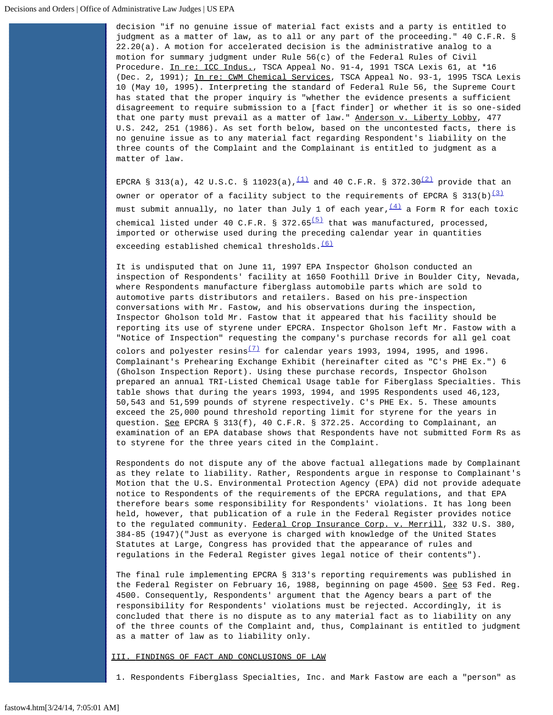decision "if no genuine issue of material fact exists and a party is entitled to judgment as a matter of law, as to all or any part of the proceeding." 40 C.F.R. § 22.20(a). A motion for accelerated decision is the administrative analog to a motion for summary judgment under Rule 56(c) of the Federal Rules of Civil Procedure. In re: ICC Indus., TSCA Appeal No. 91-4, 1991 TSCA Lexis 61, at \*16 (Dec. 2, 1991); In re: CWM Chemical Services, TSCA Appeal No. 93-1, 1995 TSCA Lexis 10 (May 10, 1995). Interpreting the standard of Federal Rule 56, the Supreme Court has stated that the proper inquiry is "whether the evidence presents a sufficient disagreement to require submission to a [fact finder] or whether it is so one-sided that one party must prevail as a matter of law." Anderson v. Liberty Lobby, 477 U.S. 242, 251 (1986). As set forth below, based on the uncontested facts, there is no genuine issue as to any material fact regarding Respondent's liability on the three counts of the Complaint and the Complainant is entitled to judgment as a matter of law.

EPCRA § 313(a), 42 U.S.C. § 11023(a),  $(1)$  and 40 C.F.R. § 372.30<sup>(2)</sup> provide that an owner or operator of a facility subject to the requirements of EPCRA § 313(b)<sup>[\(3\)](#page-3-2)</sup> must submit annually, no later than July 1 of each year,  $\frac{(4)}{4}$  a Form R for each toxic chemical listed under 40 C.F.R. § 372.65 $(5)$  that was manufactured, processed, imported or otherwise used during the preceding calendar year in quantities exceeding established chemical thresholds. $(6)$ 

It is undisputed that on June 11, 1997 EPA Inspector Gholson conducted an inspection of Respondents' facility at 1650 Foothill Drive in Boulder City, Nevada, where Respondents manufacture fiberglass automobile parts which are sold to automotive parts distributors and retailers. Based on his pre-inspection conversations with Mr. Fastow, and his observations during the inspection, Inspector Gholson told Mr. Fastow that it appeared that his facility should be reporting its use of styrene under EPCRA. Inspector Gholson left Mr. Fastow with a "Notice of Inspection" requesting the company's purchase records for all gel coat colors and polyester resins<sup> $(7)$ </sup> for calendar years 1993, 1994, 1995, and 1996. Complainant's Prehearing Exchange Exhibit (hereinafter cited as "C's PHE Ex.") 6 (Gholson Inspection Report). Using these purchase records, Inspector Gholson prepared an annual TRI-Listed Chemical Usage table for Fiberglass Specialties. This table shows that during the years 1993, 1994, and 1995 Respondents used 46,123, 50,543 and 51,599 pounds of styrene respectively. C's PHE Ex. 5. These amounts exceed the 25,000 pound threshold reporting limit for styrene for the years in question. See EPCRA § 313(f), 40 C.F.R. § 372.25. According to Complainant, an examination of an EPA database shows that Respondents have not submitted Form Rs as

Respondents do not dispute any of the above factual allegations made by Complainant as they relate to liability. Rather, Respondents argue in response to Complainant's Motion that the U.S. Environmental Protection Agency (EPA) did not provide adequate notice to Respondents of the requirements of the EPCRA regulations, and that EPA therefore bears some responsibility for Respondents' violations. It has long been held, however, that publication of a rule in the Federal Register provides notice to the regulated community. Federal Crop Insurance Corp. v. Merrill, 332 U.S. 380, 384-85 (1947)("Just as everyone is charged with knowledge of the United States Statutes at Large, Congress has provided that the appearance of rules and regulations in the Federal Register gives legal notice of their contents").

The final rule implementing EPCRA § 313's reporting requirements was published in the Federal Register on February 16, 1988, beginning on page 4500. See 53 Fed. Reg. 4500. Consequently, Respondents' argument that the Agency bears a part of the responsibility for Respondents' violations must be rejected. Accordingly, it is concluded that there is no dispute as to any material fact as to liability on any of the three counts of the Complaint and, thus, Complainant is entitled to judgment as a matter of law as to liability only.

III. FINDINGS OF FACT AND CONCLUSIONS OF LAW

to styrene for the three years cited in the Complaint.

1. Respondents Fiberglass Specialties, Inc. and Mark Fastow are each a "person" as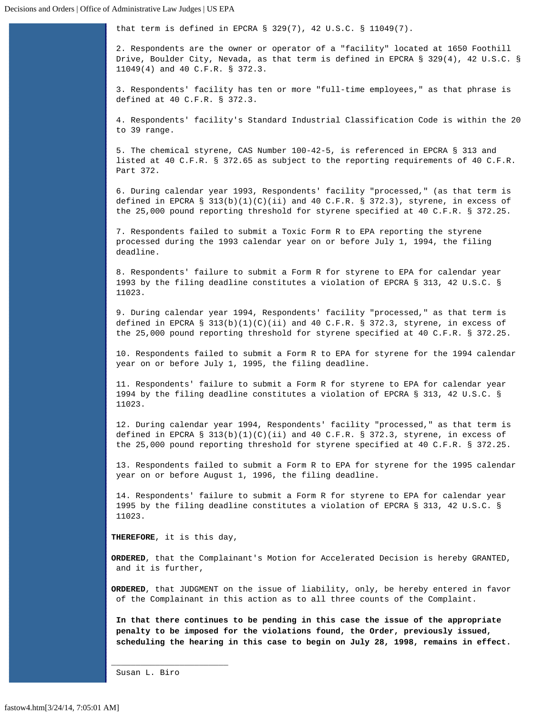that term is defined in EPCRA § 329(7), 42 U.S.C. § 11049(7).

2. Respondents are the owner or operator of a "facility" located at 1650 Foothill Drive, Boulder City, Nevada, as that term is defined in EPCRA § 329(4), 42 U.S.C. § 11049(4) and 40 C.F.R. § 372.3.

3. Respondents' facility has ten or more "full-time employees," as that phrase is defined at 40 C.F.R. § 372.3.

4. Respondents' facility's Standard Industrial Classification Code is within the 20 to 39 range.

5. The chemical styrene, CAS Number 100-42-5, is referenced in EPCRA § 313 and listed at 40 C.F.R. § 372.65 as subject to the reporting requirements of 40 C.F.R. Part 372.

6. During calendar year 1993, Respondents' facility "processed," (as that term is defined in EPCRA §  $313(b)(1)(C)(ii)$  and 40 C.F.R. § 372.3), styrene, in excess of the 25,000 pound reporting threshold for styrene specified at 40 C.F.R. § 372.25.

7. Respondents failed to submit a Toxic Form R to EPA reporting the styrene processed during the 1993 calendar year on or before July 1, 1994, the filing deadline.

8. Respondents' failure to submit a Form R for styrene to EPA for calendar year 1993 by the filing deadline constitutes a violation of EPCRA § 313, 42 U.S.C. § 11023.

9. During calendar year 1994, Respondents' facility "processed," as that term is defined in EPCRA §  $313(b)(1)(C)(ii)$  and 40 C.F.R. § 372.3, styrene, in excess of the 25,000 pound reporting threshold for styrene specified at 40 C.F.R. § 372.25.

10. Respondents failed to submit a Form R to EPA for styrene for the 1994 calendar year on or before July 1, 1995, the filing deadline.

11. Respondents' failure to submit a Form R for styrene to EPA for calendar year 1994 by the filing deadline constitutes a violation of EPCRA § 313, 42 U.S.C. § 11023.

12. During calendar year 1994, Respondents' facility "processed," as that term is defined in EPCRA §  $313(b)(1)(C)(ii)$  and 40 C.F.R. § 372.3, styrene, in excess of the 25,000 pound reporting threshold for styrene specified at 40 C.F.R. § 372.25.

13. Respondents failed to submit a Form R to EPA for styrene for the 1995 calendar year on or before August 1, 1996, the filing deadline.

14. Respondents' failure to submit a Form R for styrene to EPA for calendar year 1995 by the filing deadline constitutes a violation of EPCRA § 313, 42 U.S.C. § 11023.

**THEREFORE**, it is this day,

**ORDERED**, that the Complainant's Motion for Accelerated Decision is hereby GRANTED, and it is further,

**ORDERED**, that JUDGMENT on the issue of liability, only, be hereby entered in favor of the Complainant in this action as to all three counts of the Complaint.

**In that there continues to be pending in this case the issue of the appropriate penalty to be imposed for the violations found, the Order, previously issued, scheduling the hearing in this case to begin on July 28, 1998, remains in effect.**

Susan L. Biro

\_\_\_\_\_\_\_\_\_\_\_\_\_\_\_\_\_\_\_\_\_\_\_\_